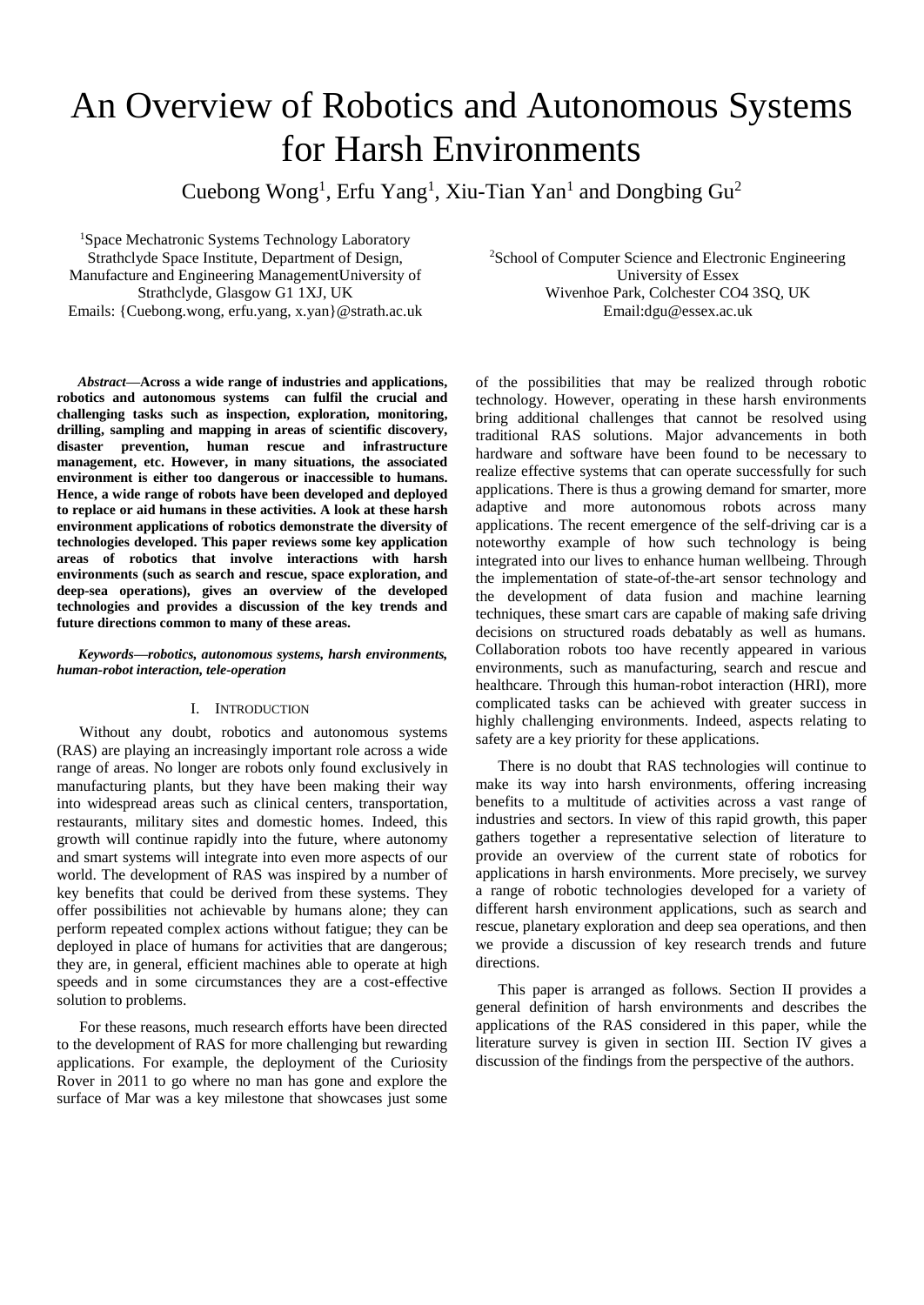# An Overview of Robotics and Autonomous Systems for Harsh Environments

Cuebong Wong<sup>1</sup>, Erfu Yang<sup>1</sup>, Xiu-Tian Yan<sup>1</sup> and Dongbing Gu<sup>2</sup>

<sup>1</sup>Space Mechatronic Systems Technology Laboratory Strathclyde Space Institute, Department of Design. Manufacture and Engineering ManagementUniversity of Strathclyde, Glasgow G1 1XJ, UK Emails: {Cuebong.wong, erfu.yang, x.yan}@strath.ac.uk

*Abstract***—Across a wide range of industries and applications, robotics and autonomous systems can fulfil the crucial and challenging tasks such as inspection, exploration, monitoring, drilling, sampling and mapping in areas of scientific discovery, disaster prevention, human rescue and infrastructure management, etc. However, in many situations, the associated environment is either too dangerous or inaccessible to humans. Hence, a wide range of robots have been developed and deployed to replace or aid humans in these activities. A look at these harsh environment applications of robotics demonstrate the diversity of technologies developed. This paper reviews some key application areas of robotics that involve interactions with harsh environments (such as search and rescue, space exploration, and deep-sea operations), gives an overview of the developed technologies and provides a discussion of the key trends and future directions common to many of these areas.**

#### *Keywords—robotics, autonomous systems, harsh environments, human-robot interaction, tele-operation*

#### I. INTRODUCTION

Without any doubt, robotics and autonomous systems (RAS) are playing an increasingly important role across a wide range of areas. No longer are robots only found exclusively in manufacturing plants, but they have been making their way into widespread areas such as clinical centers, transportation, restaurants, military sites and domestic homes. Indeed, this growth will continue rapidly into the future, where autonomy and smart systems will integrate into even more aspects of our world. The development of RAS was inspired by a number of key benefits that could be derived from these systems. They offer possibilities not achievable by humans alone; they can perform repeated complex actions without fatigue; they can be deployed in place of humans for activities that are dangerous; they are, in general, efficient machines able to operate at high speeds and in some circumstances they are a cost-effective solution to problems.

For these reasons, much research efforts have been directed to the development of RAS for more challenging but rewarding applications. For example, the deployment of the Curiosity Rover in 2011 to go where no man has gone and explore the surface of Mar was a key milestone that showcases just some

<sup>2</sup>School of Computer Science and Electronic Engineering University of Essex Wivenhoe Park, Colchester CO4 3SQ, UK Email:dgu@essex.ac.uk

of the possibilities that may be realized through robotic technology. However, operating in these harsh environments bring additional challenges that cannot be resolved using traditional RAS solutions. Major advancements in both hardware and software have been found to be necessary to realize effective systems that can operate successfully for such applications. There is thus a growing demand for smarter, more adaptive and more autonomous robots across many applications. The recent emergence of the self-driving car is a noteworthy example of how such technology is being integrated into our lives to enhance human wellbeing. Through the implementation of state-of-the-art sensor technology and the development of data fusion and machine learning techniques, these smart cars are capable of making safe driving decisions on structured roads debatably as well as humans. Collaboration robots too have recently appeared in various environments, such as manufacturing, search and rescue and healthcare. Through this human-robot interaction (HRI), more complicated tasks can be achieved with greater success in highly challenging environments. Indeed, aspects relating to safety are a key priority for these applications.

There is no doubt that RAS technologies will continue to make its way into harsh environments, offering increasing benefits to a multitude of activities across a vast range of industries and sectors. In view of this rapid growth, this paper gathers together a representative selection of literature to provide an overview of the current state of robotics for applications in harsh environments. More precisely, we survey a range of robotic technologies developed for a variety of different harsh environment applications, such as search and rescue, planetary exploration and deep sea operations, and then we provide a discussion of key research trends and future directions.

This paper is arranged as follows. Section II provides a general definition of harsh environments and describes the applications of the RAS considered in this paper, while the literature survey is given in section III. Section IV gives a discussion of the findings from the perspective of the authors.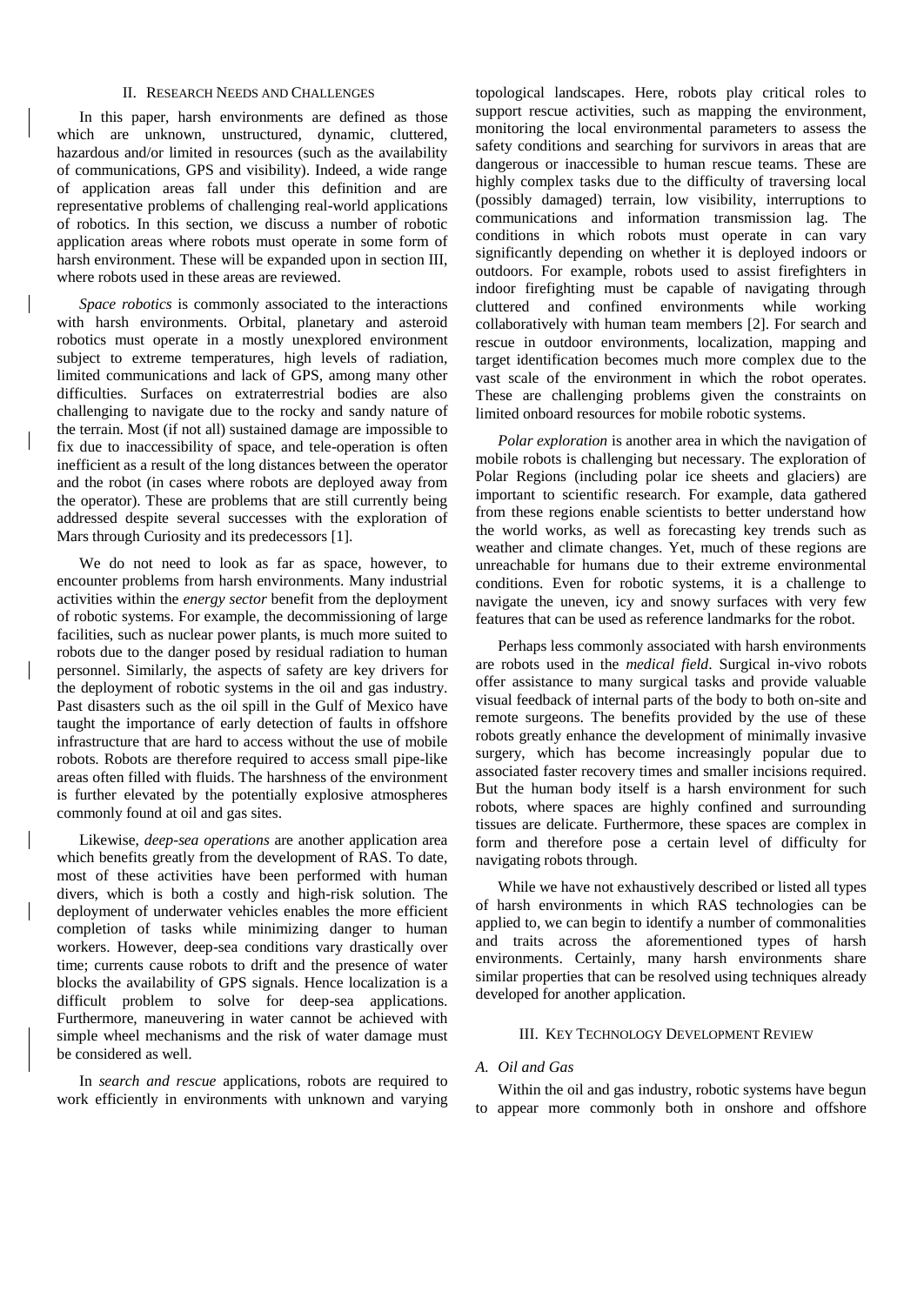## II. RESEARCH NEEDS AND CHALLENGES

In this paper, harsh environments are defined as those which are unknown, unstructured, dynamic, cluttered, hazardous and/or limited in resources (such as the availability of communications, GPS and visibility). Indeed, a wide range of application areas fall under this definition and are representative problems of challenging real-world applications of robotics. In this section, we discuss a number of robotic application areas where robots must operate in some form of harsh environment. These will be expanded upon in section III, where robots used in these areas are reviewed.

*Space robotics* is commonly associated to the interactions with harsh environments. Orbital, planetary and asteroid robotics must operate in a mostly unexplored environment subject to extreme temperatures, high levels of radiation, limited communications and lack of GPS, among many other difficulties. Surfaces on extraterrestrial bodies are also challenging to navigate due to the rocky and sandy nature of the terrain. Most (if not all) sustained damage are impossible to fix due to inaccessibility of space, and tele-operation is often inefficient as a result of the long distances between the operator and the robot (in cases where robots are deployed away from the operator). These are problems that are still currently being addressed despite several successes with the exploration of Mars through Curiosity and its predecessors [1].

We do not need to look as far as space, however, to encounter problems from harsh environments. Many industrial activities within the *energy sector* benefit from the deployment of robotic systems. For example, the decommissioning of large facilities, such as nuclear power plants, is much more suited to robots due to the danger posed by residual radiation to human personnel. Similarly, the aspects of safety are key drivers for the deployment of robotic systems in the oil and gas industry. Past disasters such as the oil spill in the Gulf of Mexico have taught the importance of early detection of faults in offshore infrastructure that are hard to access without the use of mobile robots. Robots are therefore required to access small pipe-like areas often filled with fluids. The harshness of the environment is further elevated by the potentially explosive atmospheres commonly found at oil and gas sites.

Likewise, *deep-sea operations* are another application area which benefits greatly from the development of RAS. To date, most of these activities have been performed with human divers, which is both a costly and high-risk solution. The deployment of underwater vehicles enables the more efficient completion of tasks while minimizing danger to human workers. However, deep-sea conditions vary drastically over time; currents cause robots to drift and the presence of water blocks the availability of GPS signals. Hence localization is a difficult problem to solve for deep-sea applications. Furthermore, maneuvering in water cannot be achieved with simple wheel mechanisms and the risk of water damage must be considered as well.

In *search and rescue* applications, robots are required to work efficiently in environments with unknown and varying

topological landscapes. Here, robots play critical roles to support rescue activities, such as mapping the environment, monitoring the local environmental parameters to assess the safety conditions and searching for survivors in areas that are dangerous or inaccessible to human rescue teams. These are highly complex tasks due to the difficulty of traversing local (possibly damaged) terrain, low visibility, interruptions to communications and information transmission lag. The conditions in which robots must operate in can vary significantly depending on whether it is deployed indoors or outdoors. For example, robots used to assist firefighters in indoor firefighting must be capable of navigating through cluttered and confined environments while working collaboratively with human team members [2]. For search and rescue in outdoor environments, localization, mapping and target identification becomes much more complex due to the vast scale of the environment in which the robot operates. These are challenging problems given the constraints on limited onboard resources for mobile robotic systems.

*Polar exploration* is another area in which the navigation of mobile robots is challenging but necessary. The exploration of Polar Regions (including polar ice sheets and glaciers) are important to scientific research. For example, data gathered from these regions enable scientists to better understand how the world works, as well as forecasting key trends such as weather and climate changes. Yet, much of these regions are unreachable for humans due to their extreme environmental conditions. Even for robotic systems, it is a challenge to navigate the uneven, icy and snowy surfaces with very few features that can be used as reference landmarks for the robot.

Perhaps less commonly associated with harsh environments are robots used in the *medical field*. Surgical in-vivo robots offer assistance to many surgical tasks and provide valuable visual feedback of internal parts of the body to both on-site and remote surgeons. The benefits provided by the use of these robots greatly enhance the development of minimally invasive surgery, which has become increasingly popular due to associated faster recovery times and smaller incisions required. But the human body itself is a harsh environment for such robots, where spaces are highly confined and surrounding tissues are delicate. Furthermore, these spaces are complex in form and therefore pose a certain level of difficulty for navigating robots through.

While we have not exhaustively described or listed all types of harsh environments in which RAS technologies can be applied to, we can begin to identify a number of commonalities and traits across the aforementioned types of harsh environments. Certainly, many harsh environments share similar properties that can be resolved using techniques already developed for another application.

## III. KEY TECHNOLOGY DEVELOPMENT REVIEW

## *A. Oil and Gas*

Within the oil and gas industry, robotic systems have begun to appear more commonly both in onshore and offshore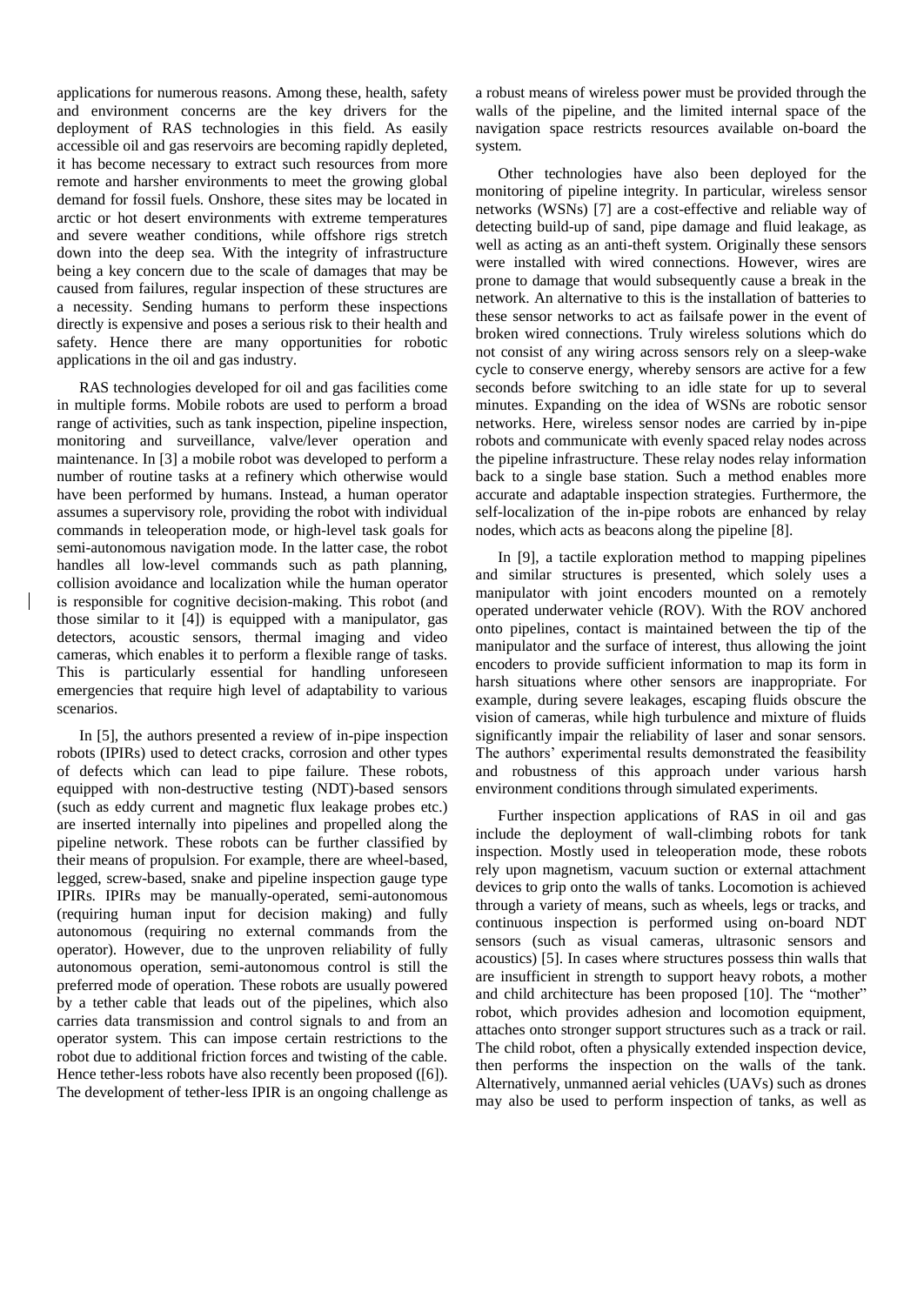applications for numerous reasons. Among these, health, safety and environment concerns are the key drivers for the deployment of RAS technologies in this field. As easily accessible oil and gas reservoirs are becoming rapidly depleted, it has become necessary to extract such resources from more remote and harsher environments to meet the growing global demand for fossil fuels. Onshore, these sites may be located in arctic or hot desert environments with extreme temperatures and severe weather conditions, while offshore rigs stretch down into the deep sea. With the integrity of infrastructure being a key concern due to the scale of damages that may be caused from failures, regular inspection of these structures are a necessity. Sending humans to perform these inspections directly is expensive and poses a serious risk to their health and safety. Hence there are many opportunities for robotic applications in the oil and gas industry.

RAS technologies developed for oil and gas facilities come in multiple forms. Mobile robots are used to perform a broad range of activities, such as tank inspection, pipeline inspection, monitoring and surveillance, valve/lever operation and maintenance. In [3] a mobile robot was developed to perform a number of routine tasks at a refinery which otherwise would have been performed by humans. Instead, a human operator assumes a supervisory role, providing the robot with individual commands in teleoperation mode, or high-level task goals for semi-autonomous navigation mode. In the latter case, the robot handles all low-level commands such as path planning, collision avoidance and localization while the human operator is responsible for cognitive decision-making. This robot (and those similar to it [4]) is equipped with a manipulator, gas detectors, acoustic sensors, thermal imaging and video cameras, which enables it to perform a flexible range of tasks. This is particularly essential for handling unforeseen emergencies that require high level of adaptability to various scenarios.

In [5], the authors presented a review of in-pipe inspection robots (IPIRs) used to detect cracks, corrosion and other types of defects which can lead to pipe failure. These robots, equipped with non-destructive testing (NDT)-based sensors (such as eddy current and magnetic flux leakage probes etc.) are inserted internally into pipelines and propelled along the pipeline network. These robots can be further classified by their means of propulsion. For example, there are wheel-based, legged, screw-based, snake and pipeline inspection gauge type IPIRs. IPIRs may be manually-operated, semi-autonomous (requiring human input for decision making) and fully autonomous (requiring no external commands from the operator). However, due to the unproven reliability of fully autonomous operation, semi-autonomous control is still the preferred mode of operation. These robots are usually powered by a tether cable that leads out of the pipelines, which also carries data transmission and control signals to and from an operator system. This can impose certain restrictions to the robot due to additional friction forces and twisting of the cable. Hence tether-less robots have also recently been proposed ([6]). The development of tether-less IPIR is an ongoing challenge as

a robust means of wireless power must be provided through the walls of the pipeline, and the limited internal space of the navigation space restricts resources available on-board the system.

Other technologies have also been deployed for the monitoring of pipeline integrity. In particular, wireless sensor networks (WSNs) [7] are a cost-effective and reliable way of detecting build-up of sand, pipe damage and fluid leakage, as well as acting as an anti-theft system. Originally these sensors were installed with wired connections. However, wires are prone to damage that would subsequently cause a break in the network. An alternative to this is the installation of batteries to these sensor networks to act as failsafe power in the event of broken wired connections. Truly wireless solutions which do not consist of any wiring across sensors rely on a sleep-wake cycle to conserve energy, whereby sensors are active for a few seconds before switching to an idle state for up to several minutes. Expanding on the idea of WSNs are robotic sensor networks. Here, wireless sensor nodes are carried by in-pipe robots and communicate with evenly spaced relay nodes across the pipeline infrastructure. These relay nodes relay information back to a single base station. Such a method enables more accurate and adaptable inspection strategies. Furthermore, the self-localization of the in-pipe robots are enhanced by relay nodes, which acts as beacons along the pipeline [8].

In [9], a tactile exploration method to mapping pipelines and similar structures is presented, which solely uses a manipulator with joint encoders mounted on a remotely operated underwater vehicle (ROV). With the ROV anchored onto pipelines, contact is maintained between the tip of the manipulator and the surface of interest, thus allowing the joint encoders to provide sufficient information to map its form in harsh situations where other sensors are inappropriate. For example, during severe leakages, escaping fluids obscure the vision of cameras, while high turbulence and mixture of fluids significantly impair the reliability of laser and sonar sensors. The authors' experimental results demonstrated the feasibility and robustness of this approach under various harsh environment conditions through simulated experiments.

Further inspection applications of RAS in oil and gas include the deployment of wall-climbing robots for tank inspection. Mostly used in teleoperation mode, these robots rely upon magnetism, vacuum suction or external attachment devices to grip onto the walls of tanks. Locomotion is achieved through a variety of means, such as wheels, legs or tracks, and continuous inspection is performed using on-board NDT sensors (such as visual cameras, ultrasonic sensors and acoustics) [5]. In cases where structures possess thin walls that are insufficient in strength to support heavy robots, a mother and child architecture has been proposed [10]. The "mother" robot, which provides adhesion and locomotion equipment, attaches onto stronger support structures such as a track or rail. The child robot, often a physically extended inspection device, then performs the inspection on the walls of the tank. Alternatively, unmanned aerial vehicles (UAVs) such as drones may also be used to perform inspection of tanks, as well as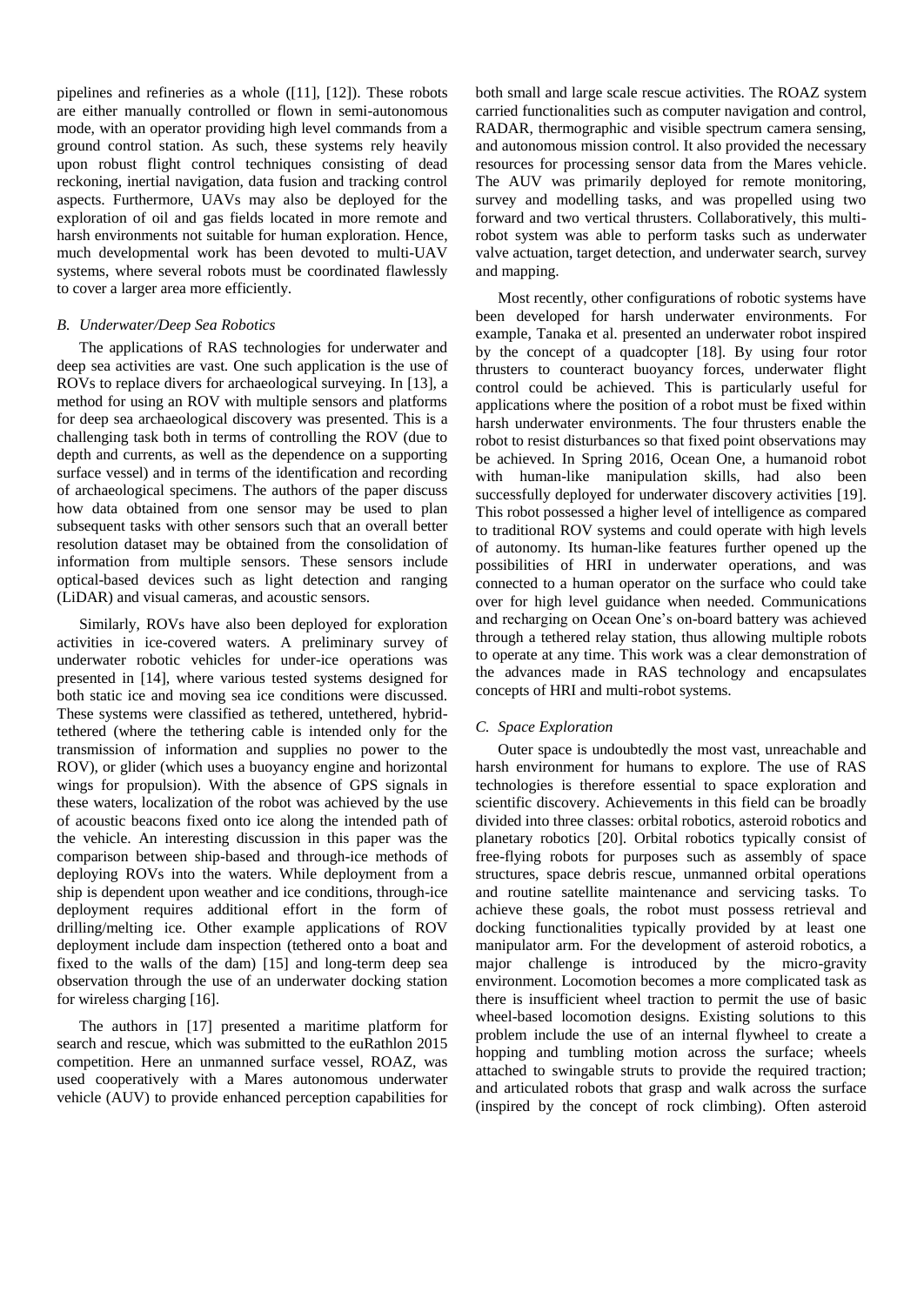pipelines and refineries as a whole ([11], [12]). These robots are either manually controlled or flown in semi-autonomous mode, with an operator providing high level commands from a ground control station. As such, these systems rely heavily upon robust flight control techniques consisting of dead reckoning, inertial navigation, data fusion and tracking control aspects. Furthermore, UAVs may also be deployed for the exploration of oil and gas fields located in more remote and harsh environments not suitable for human exploration. Hence, much developmental work has been devoted to multi-UAV systems, where several robots must be coordinated flawlessly to cover a larger area more efficiently.

#### *B. Underwater/Deep Sea Robotics*

The applications of RAS technologies for underwater and deep sea activities are vast. One such application is the use of ROVs to replace divers for archaeological surveying. In [13], a method for using an ROV with multiple sensors and platforms for deep sea archaeological discovery was presented. This is a challenging task both in terms of controlling the ROV (due to depth and currents, as well as the dependence on a supporting surface vessel) and in terms of the identification and recording of archaeological specimens. The authors of the paper discuss how data obtained from one sensor may be used to plan subsequent tasks with other sensors such that an overall better resolution dataset may be obtained from the consolidation of information from multiple sensors. These sensors include optical-based devices such as light detection and ranging (LiDAR) and visual cameras, and acoustic sensors.

Similarly, ROVs have also been deployed for exploration activities in ice-covered waters. A preliminary survey of underwater robotic vehicles for under-ice operations was presented in [14], where various tested systems designed for both static ice and moving sea ice conditions were discussed. These systems were classified as tethered, untethered, hybridtethered (where the tethering cable is intended only for the transmission of information and supplies no power to the ROV), or glider (which uses a buoyancy engine and horizontal wings for propulsion). With the absence of GPS signals in these waters, localization of the robot was achieved by the use of acoustic beacons fixed onto ice along the intended path of the vehicle. An interesting discussion in this paper was the comparison between ship-based and through-ice methods of deploying ROVs into the waters. While deployment from a ship is dependent upon weather and ice conditions, through-ice deployment requires additional effort in the form of drilling/melting ice. Other example applications of ROV deployment include dam inspection (tethered onto a boat and fixed to the walls of the dam) [15] and long-term deep sea observation through the use of an underwater docking station for wireless charging [16].

The authors in [17] presented a maritime platform for search and rescue, which was submitted to the euRathlon 2015 competition. Here an unmanned surface vessel, ROAZ, was used cooperatively with a Mares autonomous underwater vehicle (AUV) to provide enhanced perception capabilities for

both small and large scale rescue activities. The ROAZ system carried functionalities such as computer navigation and control, RADAR, thermographic and visible spectrum camera sensing, and autonomous mission control. It also provided the necessary resources for processing sensor data from the Mares vehicle. The AUV was primarily deployed for remote monitoring, survey and modelling tasks, and was propelled using two forward and two vertical thrusters. Collaboratively, this multirobot system was able to perform tasks such as underwater valve actuation, target detection, and underwater search, survey and mapping.

Most recently, other configurations of robotic systems have been developed for harsh underwater environments. For example, Tanaka et al. presented an underwater robot inspired by the concept of a quadcopter [18]. By using four rotor thrusters to counteract buoyancy forces, underwater flight control could be achieved. This is particularly useful for applications where the position of a robot must be fixed within harsh underwater environments. The four thrusters enable the robot to resist disturbances so that fixed point observations may be achieved. In Spring 2016, Ocean One, a humanoid robot with human-like manipulation skills, had also been successfully deployed for underwater discovery activities [19]. This robot possessed a higher level of intelligence as compared to traditional ROV systems and could operate with high levels of autonomy. Its human-like features further opened up the possibilities of HRI in underwater operations, and was connected to a human operator on the surface who could take over for high level guidance when needed. Communications and recharging on Ocean One's on-board battery was achieved through a tethered relay station, thus allowing multiple robots to operate at any time. This work was a clear demonstration of the advances made in RAS technology and encapsulates concepts of HRI and multi-robot systems.

## *C. Space Exploration*

Outer space is undoubtedly the most vast, unreachable and harsh environment for humans to explore. The use of RAS technologies is therefore essential to space exploration and scientific discovery. Achievements in this field can be broadly divided into three classes: orbital robotics, asteroid robotics and planetary robotics [20]. Orbital robotics typically consist of free-flying robots for purposes such as assembly of space structures, space debris rescue, unmanned orbital operations and routine satellite maintenance and servicing tasks. To achieve these goals, the robot must possess retrieval and docking functionalities typically provided by at least one manipulator arm. For the development of asteroid robotics, a major challenge is introduced by the micro-gravity environment. Locomotion becomes a more complicated task as there is insufficient wheel traction to permit the use of basic wheel-based locomotion designs. Existing solutions to this problem include the use of an internal flywheel to create a hopping and tumbling motion across the surface; wheels attached to swingable struts to provide the required traction; and articulated robots that grasp and walk across the surface (inspired by the concept of rock climbing). Often asteroid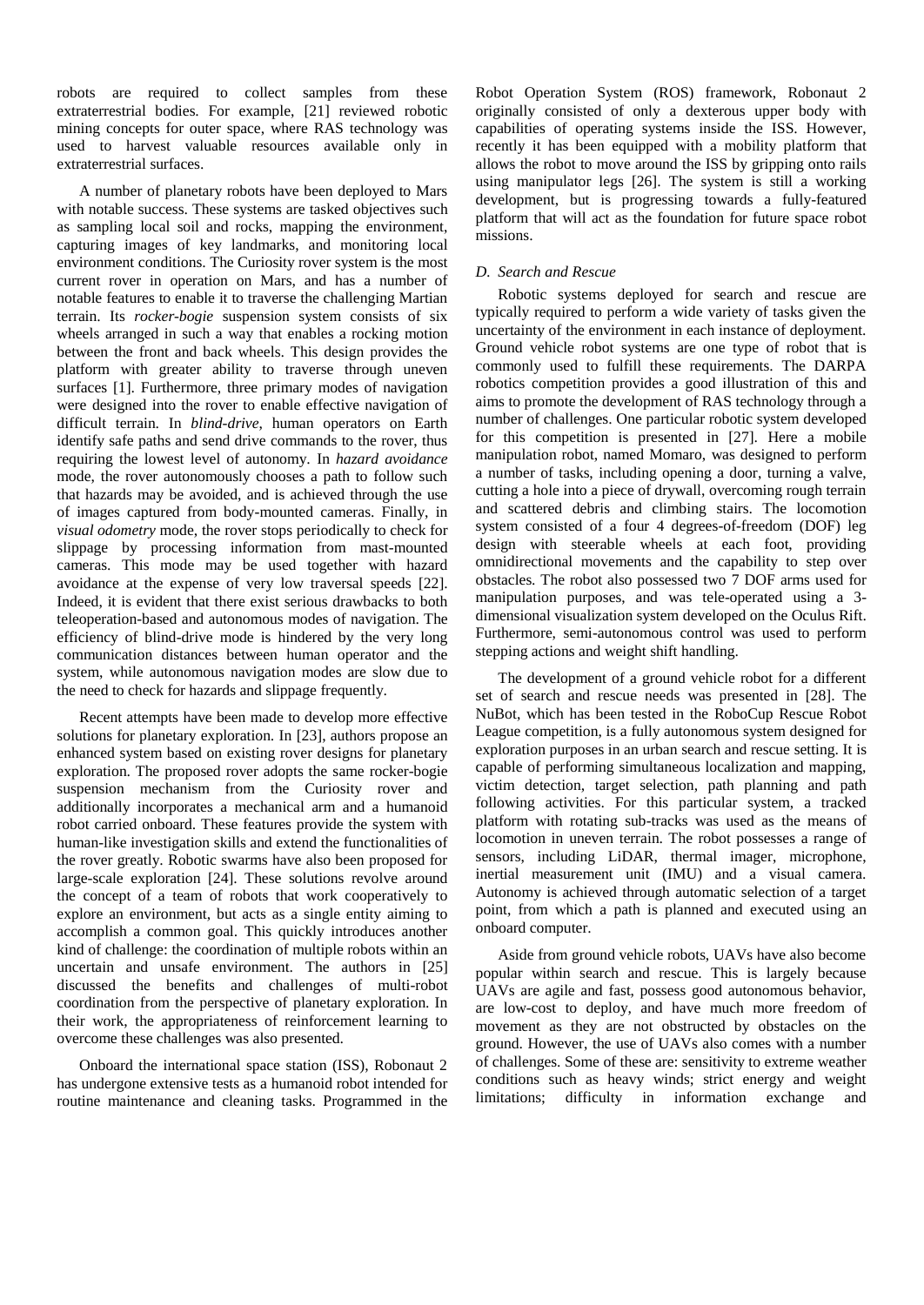robots are required to collect samples from these extraterrestrial bodies. For example, [21] reviewed robotic mining concepts for outer space, where RAS technology was used to harvest valuable resources available only in extraterrestrial surfaces.

A number of planetary robots have been deployed to Mars with notable success. These systems are tasked objectives such as sampling local soil and rocks, mapping the environment, capturing images of key landmarks, and monitoring local environment conditions. The Curiosity rover system is the most current rover in operation on Mars, and has a number of notable features to enable it to traverse the challenging Martian terrain. Its *rocker-bogie* suspension system consists of six wheels arranged in such a way that enables a rocking motion between the front and back wheels. This design provides the platform with greater ability to traverse through uneven surfaces [1]. Furthermore, three primary modes of navigation were designed into the rover to enable effective navigation of difficult terrain. In *blind-drive*, human operators on Earth identify safe paths and send drive commands to the rover, thus requiring the lowest level of autonomy. In *hazard avoidance*  mode, the rover autonomously chooses a path to follow such that hazards may be avoided, and is achieved through the use of images captured from body-mounted cameras. Finally, in *visual odometry* mode, the rover stops periodically to check for slippage by processing information from mast-mounted cameras. This mode may be used together with hazard avoidance at the expense of very low traversal speeds [22]. Indeed, it is evident that there exist serious drawbacks to both teleoperation-based and autonomous modes of navigation. The efficiency of blind-drive mode is hindered by the very long communication distances between human operator and the system, while autonomous navigation modes are slow due to the need to check for hazards and slippage frequently.

Recent attempts have been made to develop more effective solutions for planetary exploration. In [23], authors propose an enhanced system based on existing rover designs for planetary exploration. The proposed rover adopts the same rocker-bogie suspension mechanism from the Curiosity rover and additionally incorporates a mechanical arm and a humanoid robot carried onboard. These features provide the system with human-like investigation skills and extend the functionalities of the rover greatly. Robotic swarms have also been proposed for large-scale exploration [24]. These solutions revolve around the concept of a team of robots that work cooperatively to explore an environment, but acts as a single entity aiming to accomplish a common goal. This quickly introduces another kind of challenge: the coordination of multiple robots within an uncertain and unsafe environment. The authors in [25] discussed the benefits and challenges of multi-robot coordination from the perspective of planetary exploration. In their work, the appropriateness of reinforcement learning to overcome these challenges was also presented.

Onboard the international space station (ISS), Robonaut 2 has undergone extensive tests as a humanoid robot intended for routine maintenance and cleaning tasks. Programmed in the

Robot Operation System (ROS) framework, Robonaut 2 originally consisted of only a dexterous upper body with capabilities of operating systems inside the ISS. However, recently it has been equipped with a mobility platform that allows the robot to move around the ISS by gripping onto rails using manipulator legs [26]. The system is still a working development, but is progressing towards a fully-featured platform that will act as the foundation for future space robot missions.

## *D. Search and Rescue*

Robotic systems deployed for search and rescue are typically required to perform a wide variety of tasks given the uncertainty of the environment in each instance of deployment. Ground vehicle robot systems are one type of robot that is commonly used to fulfill these requirements. The DARPA robotics competition provides a good illustration of this and aims to promote the development of RAS technology through a number of challenges. One particular robotic system developed for this competition is presented in [27]. Here a mobile manipulation robot, named Momaro, was designed to perform a number of tasks, including opening a door, turning a valve, cutting a hole into a piece of drywall, overcoming rough terrain and scattered debris and climbing stairs. The locomotion system consisted of a four 4 degrees-of-freedom (DOF) leg design with steerable wheels at each foot, providing omnidirectional movements and the capability to step over obstacles. The robot also possessed two 7 DOF arms used for manipulation purposes, and was tele-operated using a 3 dimensional visualization system developed on the Oculus Rift. Furthermore, semi-autonomous control was used to perform stepping actions and weight shift handling.

The development of a ground vehicle robot for a different set of search and rescue needs was presented in [28]. The NuBot, which has been tested in the RoboCup Rescue Robot League competition, is a fully autonomous system designed for exploration purposes in an urban search and rescue setting. It is capable of performing simultaneous localization and mapping, victim detection, target selection, path planning and path following activities. For this particular system, a tracked platform with rotating sub-tracks was used as the means of locomotion in uneven terrain. The robot possesses a range of sensors, including LiDAR, thermal imager, microphone, inertial measurement unit (IMU) and a visual camera. Autonomy is achieved through automatic selection of a target point, from which a path is planned and executed using an onboard computer.

Aside from ground vehicle robots, UAVs have also become popular within search and rescue. This is largely because UAVs are agile and fast, possess good autonomous behavior, are low-cost to deploy, and have much more freedom of movement as they are not obstructed by obstacles on the ground. However, the use of UAVs also comes with a number of challenges. Some of these are: sensitivity to extreme weather conditions such as heavy winds; strict energy and weight limitations; difficulty in information exchange and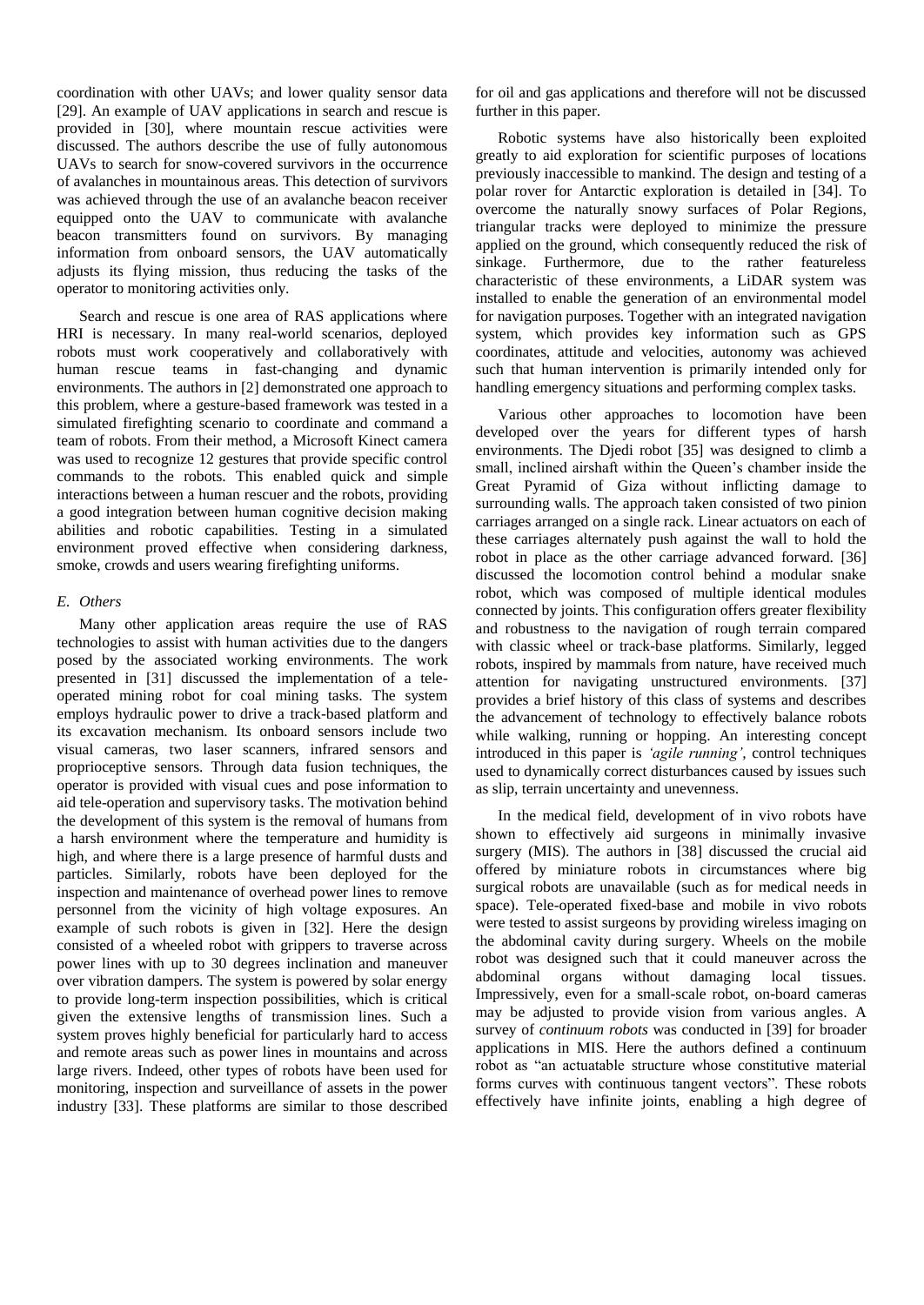coordination with other UAVs; and lower quality sensor data [29]. An example of UAV applications in search and rescue is provided in [30], where mountain rescue activities were discussed. The authors describe the use of fully autonomous UAVs to search for snow-covered survivors in the occurrence of avalanches in mountainous areas. This detection of survivors was achieved through the use of an avalanche beacon receiver equipped onto the UAV to communicate with avalanche beacon transmitters found on survivors. By managing information from onboard sensors, the UAV automatically adjusts its flying mission, thus reducing the tasks of the operator to monitoring activities only.

Search and rescue is one area of RAS applications where HRI is necessary. In many real-world scenarios, deployed robots must work cooperatively and collaboratively with human rescue teams in fast-changing and dynamic environments. The authors in [2] demonstrated one approach to this problem, where a gesture-based framework was tested in a simulated firefighting scenario to coordinate and command a team of robots. From their method, a Microsoft Kinect camera was used to recognize 12 gestures that provide specific control commands to the robots. This enabled quick and simple interactions between a human rescuer and the robots, providing a good integration between human cognitive decision making abilities and robotic capabilities. Testing in a simulated environment proved effective when considering darkness, smoke, crowds and users wearing firefighting uniforms.

## *E. Others*

Many other application areas require the use of RAS technologies to assist with human activities due to the dangers posed by the associated working environments. The work presented in [31] discussed the implementation of a teleoperated mining robot for coal mining tasks. The system employs hydraulic power to drive a track-based platform and its excavation mechanism. Its onboard sensors include two visual cameras, two laser scanners, infrared sensors and proprioceptive sensors. Through data fusion techniques, the operator is provided with visual cues and pose information to aid tele-operation and supervisory tasks. The motivation behind the development of this system is the removal of humans from a harsh environment where the temperature and humidity is high, and where there is a large presence of harmful dusts and particles. Similarly, robots have been deployed for the inspection and maintenance of overhead power lines to remove personnel from the vicinity of high voltage exposures. An example of such robots is given in [32]. Here the design consisted of a wheeled robot with grippers to traverse across power lines with up to 30 degrees inclination and maneuver over vibration dampers. The system is powered by solar energy to provide long-term inspection possibilities, which is critical given the extensive lengths of transmission lines. Such a system proves highly beneficial for particularly hard to access and remote areas such as power lines in mountains and across large rivers. Indeed, other types of robots have been used for monitoring, inspection and surveillance of assets in the power industry [33]. These platforms are similar to those described

for oil and gas applications and therefore will not be discussed further in this paper.

Robotic systems have also historically been exploited greatly to aid exploration for scientific purposes of locations previously inaccessible to mankind. The design and testing of a polar rover for Antarctic exploration is detailed in [34]. To overcome the naturally snowy surfaces of Polar Regions, triangular tracks were deployed to minimize the pressure applied on the ground, which consequently reduced the risk of sinkage. Furthermore, due to the rather featureless characteristic of these environments, a LiDAR system was installed to enable the generation of an environmental model for navigation purposes. Together with an integrated navigation system, which provides key information such as GPS coordinates, attitude and velocities, autonomy was achieved such that human intervention is primarily intended only for handling emergency situations and performing complex tasks.

Various other approaches to locomotion have been developed over the years for different types of harsh environments. The Djedi robot [35] was designed to climb a small, inclined airshaft within the Queen's chamber inside the Great Pyramid of Giza without inflicting damage to surrounding walls. The approach taken consisted of two pinion carriages arranged on a single rack. Linear actuators on each of these carriages alternately push against the wall to hold the robot in place as the other carriage advanced forward. [36] discussed the locomotion control behind a modular snake robot, which was composed of multiple identical modules connected by joints. This configuration offers greater flexibility and robustness to the navigation of rough terrain compared with classic wheel or track-base platforms. Similarly, legged robots, inspired by mammals from nature, have received much attention for navigating unstructured environments. [37] provides a brief history of this class of systems and describes the advancement of technology to effectively balance robots while walking, running or hopping. An interesting concept introduced in this paper is *'agile running'*, control techniques used to dynamically correct disturbances caused by issues such as slip, terrain uncertainty and unevenness.

In the medical field, development of in vivo robots have shown to effectively aid surgeons in minimally invasive surgery (MIS). The authors in [38] discussed the crucial aid offered by miniature robots in circumstances where big surgical robots are unavailable (such as for medical needs in space). Tele-operated fixed-base and mobile in vivo robots were tested to assist surgeons by providing wireless imaging on the abdominal cavity during surgery. Wheels on the mobile robot was designed such that it could maneuver across the abdominal organs without damaging local tissues. abdominal organs without damaging local tissues. Impressively, even for a small-scale robot, on-board cameras may be adjusted to provide vision from various angles. A survey of *continuum robots* was conducted in [39] for broader applications in MIS. Here the authors defined a continuum robot as "an actuatable structure whose constitutive material forms curves with continuous tangent vectors". These robots effectively have infinite joints, enabling a high degree of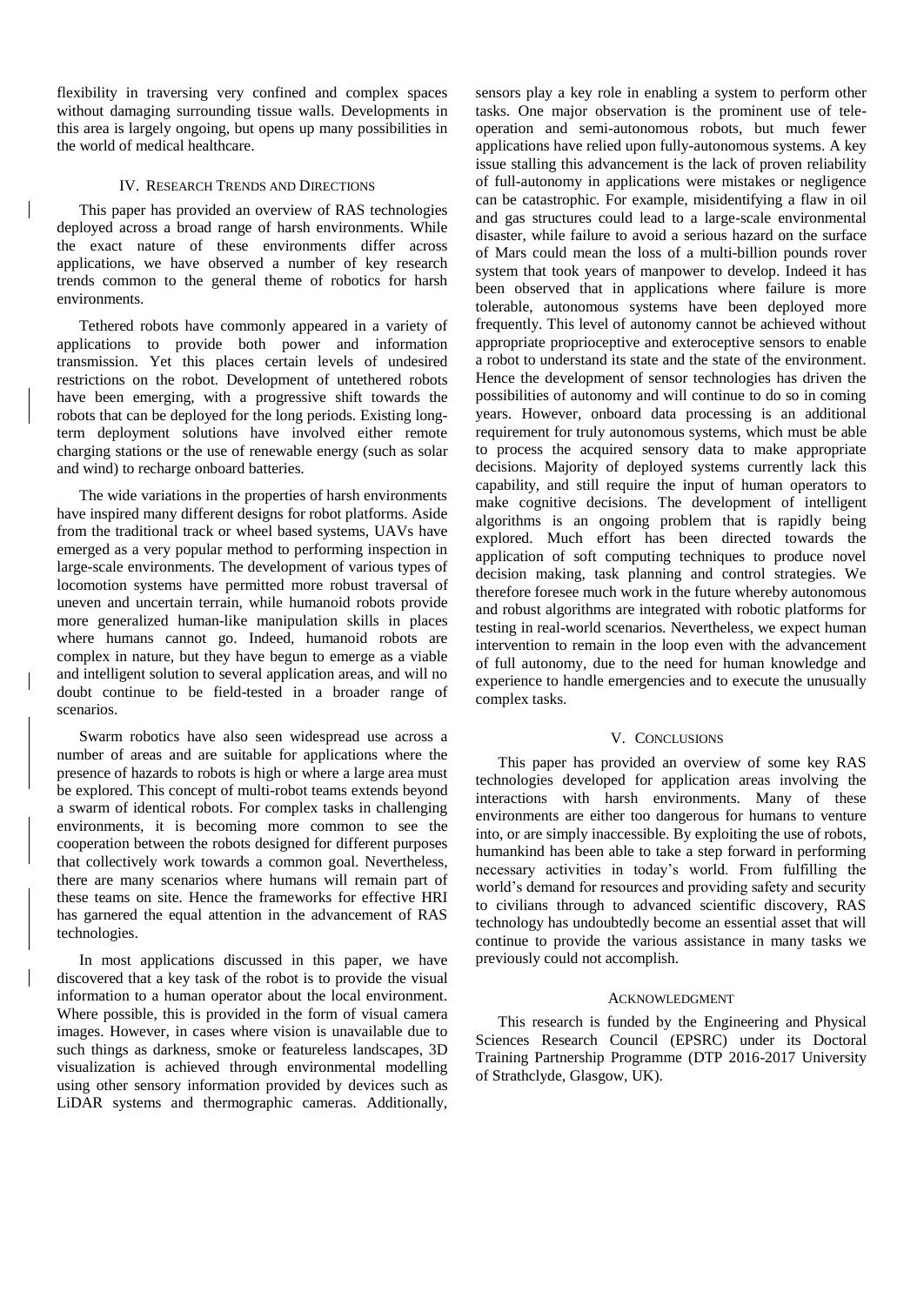flexibility in traversing very confined and complex spaces without damaging surrounding tissue walls. Developments in this area is largely ongoing, but opens up many possibilities in the world of medical healthcare.

#### IV. RESEARCH TRENDS AND DIRECTIONS

This paper has provided an overview of RAS technologies deployed across a broad range of harsh environments. While the exact nature of these environments differ across applications, we have observed a number of key research trends common to the general theme of robotics for harsh environments.

Tethered robots have commonly appeared in a variety of applications to provide both power and information transmission. Yet this places certain levels of undesired restrictions on the robot. Development of untethered robots have been emerging, with a progressive shift towards the robots that can be deployed for the long periods. Existing longterm deployment solutions have involved either remote charging stations or the use of renewable energy (such as solar and wind) to recharge onboard batteries.

The wide variations in the properties of harsh environments have inspired many different designs for robot platforms. Aside from the traditional track or wheel based systems, UAVs have emerged as a very popular method to performing inspection in large-scale environments. The development of various types of locomotion systems have permitted more robust traversal of uneven and uncertain terrain, while humanoid robots provide more generalized human-like manipulation skills in places where humans cannot go. Indeed, humanoid robots are complex in nature, but they have begun to emerge as a viable and intelligent solution to several application areas, and will no doubt continue to be field-tested in a broader range of scenarios.

Swarm robotics have also seen widespread use across a number of areas and are suitable for applications where the presence of hazards to robots is high or where a large area must be explored. This concept of multi-robot teams extends beyond a swarm of identical robots. For complex tasks in challenging environments, it is becoming more common to see the cooperation between the robots designed for different purposes that collectively work towards a common goal. Nevertheless, there are many scenarios where humans will remain part of these teams on site. Hence the frameworks for effective HRI has garnered the equal attention in the advancement of RAS technologies.

In most applications discussed in this paper, we have discovered that a key task of the robot is to provide the visual information to a human operator about the local environment. Where possible, this is provided in the form of visual camera images. However, in cases where vision is unavailable due to such things as darkness, smoke or featureless landscapes, 3D visualization is achieved through environmental modelling using other sensory information provided by devices such as LiDAR systems and thermographic cameras. Additionally,

sensors play a key role in enabling a system to perform other tasks. One major observation is the prominent use of teleoperation and semi-autonomous robots, but much fewer applications have relied upon fully-autonomous systems. A key issue stalling this advancement is the lack of proven reliability of full-autonomy in applications were mistakes or negligence can be catastrophic. For example, misidentifying a flaw in oil and gas structures could lead to a large-scale environmental disaster, while failure to avoid a serious hazard on the surface of Mars could mean the loss of a multi-billion pounds rover system that took years of manpower to develop. Indeed it has been observed that in applications where failure is more tolerable, autonomous systems have been deployed more frequently. This level of autonomy cannot be achieved without appropriate proprioceptive and exteroceptive sensors to enable a robot to understand its state and the state of the environment. Hence the development of sensor technologies has driven the possibilities of autonomy and will continue to do so in coming years. However, onboard data processing is an additional requirement for truly autonomous systems, which must be able to process the acquired sensory data to make appropriate decisions. Majority of deployed systems currently lack this capability, and still require the input of human operators to make cognitive decisions. The development of intelligent algorithms is an ongoing problem that is rapidly being explored. Much effort has been directed towards the application of soft computing techniques to produce novel decision making, task planning and control strategies. We therefore foresee much work in the future whereby autonomous and robust algorithms are integrated with robotic platforms for testing in real-world scenarios. Nevertheless, we expect human intervention to remain in the loop even with the advancement of full autonomy, due to the need for human knowledge and experience to handle emergencies and to execute the unusually complex tasks.

#### V. CONCLUSIONS

This paper has provided an overview of some key RAS technologies developed for application areas involving the interactions with harsh environments. Many of these environments are either too dangerous for humans to venture into, or are simply inaccessible. By exploiting the use of robots, humankind has been able to take a step forward in performing necessary activities in today's world. From fulfilling the world's demand for resources and providing safety and security to civilians through to advanced scientific discovery, RAS technology has undoubtedly become an essential asset that will continue to provide the various assistance in many tasks we previously could not accomplish.

#### ACKNOWLEDGMENT

This research is funded by the Engineering and Physical Sciences Research Council (EPSRC) under its Doctoral Training Partnership Programme (DTP 2016-2017 University of Strathclyde, Glasgow, UK).